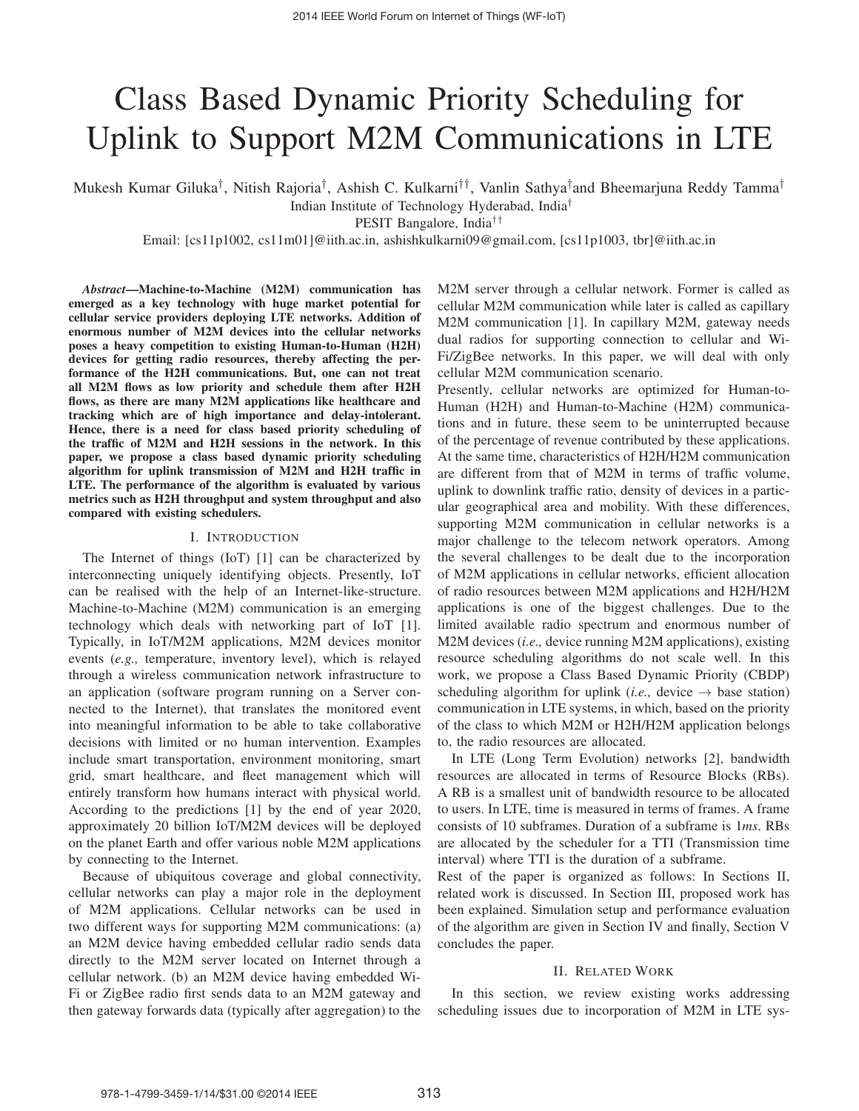# Class Based Dynamic Priority Scheduling for Uplink to Support M2M Communications in LTE

Mukesh Kumar Giluka†, Nitish Rajoria†, Ashish C. Kulkarni††, Vanlin Sathya†and Bheemarjuna Reddy Tamma† Indian Institute of Technology Hyderabad, India†

PESIT Bangalore, India††

Email: [cs11p1002, cs11m01]@iith.ac.in, ashishkulkarni09@gmail.com, [cs11p1003, tbr]@iith.ac.in

*Abstract***—Machine-to-Machine (M2M) communication has emerged as a key technology with huge market potential for cellular service providers deploying LTE networks. Addition of enormous number of M2M devices into the cellular networks poses a heavy competition to existing Human-to-Human (H2H) devices for getting radio resources, thereby affecting the performance of the H2H communications. But, one can not treat all M2M flows as low priority and schedule them after H2H flows, as there are many M2M applications like healthcare and tracking which are of high importance and delay-intolerant. Hence, there is a need for class based priority scheduling of the traffic of M2M and H2H sessions in the network. In this paper, we propose a class based dynamic priority scheduling algorithm for uplink transmission of M2M and H2H traffic in LTE. The performance of the algorithm is evaluated by various metrics such as H2H throughput and system throughput and also compared with existing schedulers.**

### I. INTRODUCTION

The Internet of things (IoT) [1] can be characterized by interconnecting uniquely identifying objects. Presently, IoT can be realised with the help of an Internet-like-structure. Machine-to-Machine (M2M) communication is an emerging technology which deals with networking part of IoT [1]. Typically, in IoT/M2M applications, M2M devices monitor events (*e.g.,* temperature, inventory level), which is relayed through a wireless communication network infrastructure to an application (software program running on a Server connected to the Internet), that translates the monitored event into meaningful information to be able to take collaborative decisions with limited or no human intervention. Examples include smart transportation, environment monitoring, smart grid, smart healthcare, and fleet management which will entirely transform how humans interact with physical world. According to the predictions [1] by the end of year 2020, approximately 20 billion IoT/M2M devices will be deployed on the planet Earth and offer various noble M2M applications by connecting to the Internet.

Because of ubiquitous coverage and global connectivity, cellular networks can play a major role in the deployment of M2M applications. Cellular networks can be used in two different ways for supporting M2M communications: (a) an M2M device having embedded cellular radio sends data directly to the M2M server located on Internet through a cellular network. (b) an M2M device having embedded Wi-Fi or ZigBee radio first sends data to an M2M gateway and then gateway forwards data (typically after aggregation) to the

M2M server through a cellular network. Former is called as cellular M2M communication while later is called as capillary M2M communication [1]. In capillary M2M, gateway needs dual radios for supporting connection to cellular and Wi-Fi/ZigBee networks. In this paper, we will deal with only cellular M2M communication scenario.

Presently, cellular networks are optimized for Human-to-Human (H2H) and Human-to-Machine (H2M) communications and in future, these seem to be uninterrupted because of the percentage of revenue contributed by these applications. At the same time, characteristics of H2H/H2M communication are different from that of M2M in terms of traffic volume, uplink to downlink traffic ratio, density of devices in a particular geographical area and mobility. With these differences, supporting M2M communication in cellular networks is a major challenge to the telecom network operators. Among the several challenges to be dealt due to the incorporation of M2M applications in cellular networks, efficient allocation of radio resources between M2M applications and H2H/H2M applications is one of the biggest challenges. Due to the limited available radio spectrum and enormous number of M2M devices (*i.e.,* device running M2M applications), existing resource scheduling algorithms do not scale well. In this work, we propose a Class Based Dynamic Priority (CBDP) scheduling algorithm for uplink (*i.e.*, device  $\rightarrow$  base station) communication in LTE systems, in which, based on the priority of the class to which M2M or H2H/H2M application belongs to, the radio resources are allocated.

In LTE (Long Term Evolution) networks [2], bandwidth resources are allocated in terms of Resource Blocks (RBs). A RB is a smallest unit of bandwidth resource to be allocated to users. In LTE, time is measured in terms of frames. A frame consists of 10 subframes. Duration of a subframe is 1*ms*. RBs are allocated by the scheduler for a TTI (Transmission time interval) where TTI is the duration of a subframe.

Rest of the paper is organized as follows: In Sections II, related work is discussed. In Section III, proposed work has been explained. Simulation setup and performance evaluation of the algorithm are given in Section IV and finally, Section V concludes the paper.

## II. RELATED WORK

In this section, we review existing works addressing scheduling issues due to incorporation of M2M in LTE sys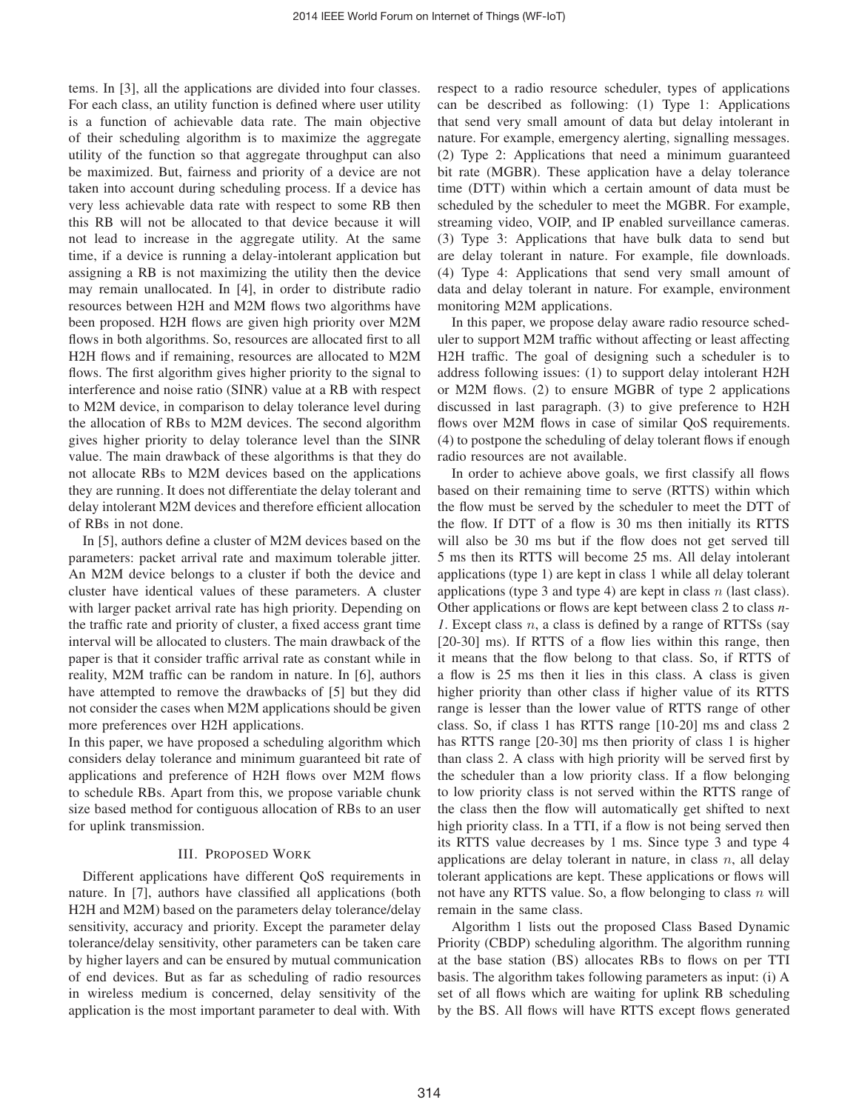tems. In [3], all the applications are divided into four classes. For each class, an utility function is defined where user utility is a function of achievable data rate. The main objective of their scheduling algorithm is to maximize the aggregate utility of the function so that aggregate throughput can also be maximized. But, fairness and priority of a device are not taken into account during scheduling process. If a device has very less achievable data rate with respect to some RB then this RB will not be allocated to that device because it will not lead to increase in the aggregate utility. At the same time, if a device is running a delay-intolerant application but assigning a RB is not maximizing the utility then the device may remain unallocated. In [4], in order to distribute radio resources between H2H and M2M flows two algorithms have been proposed. H2H flows are given high priority over M2M flows in both algorithms. So, resources are allocated first to all H2H flows and if remaining, resources are allocated to M2M flows. The first algorithm gives higher priority to the signal to interference and noise ratio (SINR) value at a RB with respect to M2M device, in comparison to delay tolerance level during the allocation of RBs to M2M devices. The second algorithm gives higher priority to delay tolerance level than the SINR value. The main drawback of these algorithms is that they do not allocate RBs to M2M devices based on the applications they are running. It does not differentiate the delay tolerant and delay intolerant M2M devices and therefore efficient allocation of RBs in not done.

In [5], authors define a cluster of M2M devices based on the parameters: packet arrival rate and maximum tolerable jitter. An M2M device belongs to a cluster if both the device and cluster have identical values of these parameters. A cluster with larger packet arrival rate has high priority. Depending on the traffic rate and priority of cluster, a fixed access grant time interval will be allocated to clusters. The main drawback of the paper is that it consider traffic arrival rate as constant while in reality, M2M traffic can be random in nature. In [6], authors have attempted to remove the drawbacks of [5] but they did not consider the cases when M2M applications should be given more preferences over H2H applications.

In this paper, we have proposed a scheduling algorithm which considers delay tolerance and minimum guaranteed bit rate of applications and preference of H2H flows over M2M flows to schedule RBs. Apart from this, we propose variable chunk size based method for contiguous allocation of RBs to an user for uplink transmission.

### III. PROPOSED WORK

Different applications have different QoS requirements in nature. In [7], authors have classified all applications (both H2H and M2M) based on the parameters delay tolerance/delay sensitivity, accuracy and priority. Except the parameter delay tolerance/delay sensitivity, other parameters can be taken care by higher layers and can be ensured by mutual communication of end devices. But as far as scheduling of radio resources in wireless medium is concerned, delay sensitivity of the application is the most important parameter to deal with. With

respect to a radio resource scheduler, types of applications can be described as following: (1) Type 1: Applications that send very small amount of data but delay intolerant in nature. For example, emergency alerting, signalling messages. (2) Type 2: Applications that need a minimum guaranteed bit rate (MGBR). These application have a delay tolerance time (DTT) within which a certain amount of data must be scheduled by the scheduler to meet the MGBR. For example, streaming video, VOIP, and IP enabled surveillance cameras. (3) Type 3: Applications that have bulk data to send but are delay tolerant in nature. For example, file downloads. (4) Type 4: Applications that send very small amount of data and delay tolerant in nature. For example, environment monitoring M2M applications.

In this paper, we propose delay aware radio resource scheduler to support M2M traffic without affecting or least affecting H2H traffic. The goal of designing such a scheduler is to address following issues: (1) to support delay intolerant H2H or M2M flows. (2) to ensure MGBR of type 2 applications discussed in last paragraph. (3) to give preference to H2H flows over M2M flows in case of similar QoS requirements. (4) to postpone the scheduling of delay tolerant flows if enough radio resources are not available.

In order to achieve above goals, we first classify all flows based on their remaining time to serve (RTTS) within which the flow must be served by the scheduler to meet the DTT of the flow. If DTT of a flow is 30 ms then initially its RTTS will also be 30 ms but if the flow does not get served till 5 ms then its RTTS will become 25 ms. All delay intolerant applications (type 1) are kept in class 1 while all delay tolerant applications (type 3 and type 4) are kept in class  $n$  (last class). Other applications or flows are kept between class 2 to class *n-1*. Except class n, a class is defined by a range of RTTSs (say [20-30] ms). If RTTS of a flow lies within this range, then it means that the flow belong to that class. So, if RTTS of a flow is 25 ms then it lies in this class. A class is given higher priority than other class if higher value of its RTTS range is lesser than the lower value of RTTS range of other class. So, if class 1 has RTTS range [10-20] ms and class 2 has RTTS range [20-30] ms then priority of class 1 is higher than class 2. A class with high priority will be served first by the scheduler than a low priority class. If a flow belonging to low priority class is not served within the RTTS range of the class then the flow will automatically get shifted to next high priority class. In a TTI, if a flow is not being served then its RTTS value decreases by 1 ms. Since type 3 and type 4 applications are delay tolerant in nature, in class  $n$ , all delay tolerant applications are kept. These applications or flows will not have any RTTS value. So, a flow belonging to class  $n$  will remain in the same class.

Algorithm 1 lists out the proposed Class Based Dynamic Priority (CBDP) scheduling algorithm. The algorithm running at the base station (BS) allocates RBs to flows on per TTI basis. The algorithm takes following parameters as input: (i) A set of all flows which are waiting for uplink RB scheduling by the BS. All flows will have RTTS except flows generated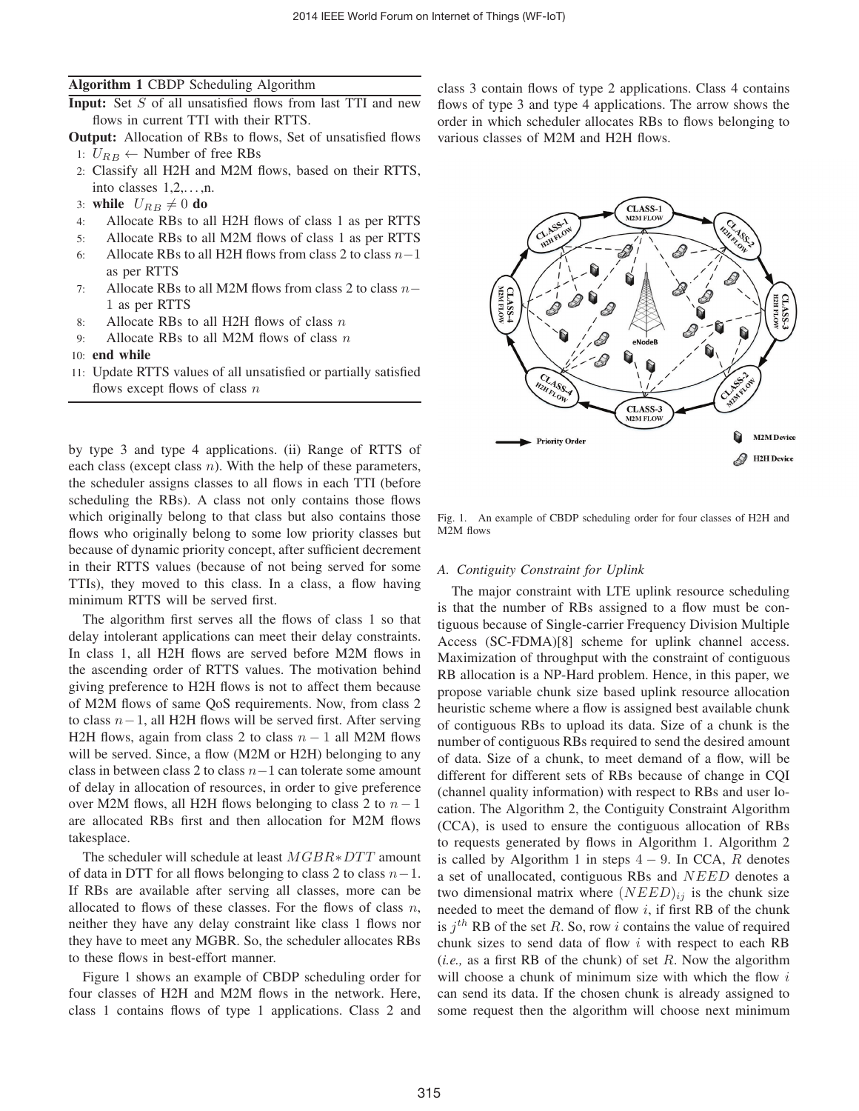## **Algorithm 1** CBDP Scheduling Algorithm

- **Input:** Set S of all unsatisfied flows from last TTI and new flows in current TTI with their RTTS.
- **Output:** Allocation of RBs to flows, Set of unsatisfied flows 1:  $U_{RB}$  ← Number of free RBs
- 2: Classify all H2H and M2M flows, based on their RTTS, into classes  $1, 2, \ldots, n$ .
- 3: **while**  $U_{RB} \neq 0$  do
- 4: Allocate RBs to all H2H flows of class 1 as per RTTS
- 5: Allocate RBs to all M2M flows of class 1 as per RTTS
- 6: Allocate RBs to all H2H flows from class 2 to class  $n-1$ as per RTTS
- 7: Allocate RBs to all M2M flows from class 2 to class n− 1 as per RTTS
- 8: Allocate RBs to all H2H flows of class  $n$
- 9: Allocate RBs to all M2M flows of class  $n$
- 10: **end while**
- 11: Update RTTS values of all unsatisfied or partially satisfied flows except flows of class  $n$

by type 3 and type 4 applications. (ii) Range of RTTS of each class (except class  $n$ ). With the help of these parameters, the scheduler assigns classes to all flows in each TTI (before scheduling the RBs). A class not only contains those flows which originally belong to that class but also contains those flows who originally belong to some low priority classes but because of dynamic priority concept, after sufficient decrement in their RTTS values (because of not being served for some TTIs), they moved to this class. In a class, a flow having minimum RTTS will be served first.

The algorithm first serves all the flows of class 1 so that delay intolerant applications can meet their delay constraints. In class 1, all H2H flows are served before M2M flows in the ascending order of RTTS values. The motivation behind giving preference to H2H flows is not to affect them because of M2M flows of same QoS requirements. Now, from class 2 to class  $n-1$ , all H2H flows will be served first. After serving H2H flows, again from class 2 to class  $n - 1$  all M2M flows will be served. Since, a flow (M2M or H2H) belonging to any class in between class 2 to class  $n-1$  can tolerate some amount of delay in allocation of resources, in order to give preference over M2M flows, all H2H flows belonging to class 2 to  $n - 1$ are allocated RBs first and then allocation for M2M flows takesplace.

The scheduler will schedule at least MGBR∗DTT amount of data in DTT for all flows belonging to class 2 to class  $n-1$ . If RBs are available after serving all classes, more can be allocated to flows of these classes. For the flows of class  $n$ , neither they have any delay constraint like class 1 flows nor they have to meet any MGBR. So, the scheduler allocates RBs to these flows in best-effort manner.

Figure 1 shows an example of CBDP scheduling order for four classes of H2H and M2M flows in the network. Here, class 1 contains flows of type 1 applications. Class 2 and class 3 contain flows of type 2 applications. Class 4 contains flows of type 3 and type 4 applications. The arrow shows the order in which scheduler allocates RBs to flows belonging to various classes of M2M and H2H flows.



Fig. 1. An example of CBDP scheduling order for four classes of H2H and M2M flows

#### *A. Contiguity Constraint for Uplink*

The major constraint with LTE uplink resource scheduling is that the number of RBs assigned to a flow must be contiguous because of Single-carrier Frequency Division Multiple Access (SC-FDMA)[8] scheme for uplink channel access. Maximization of throughput with the constraint of contiguous RB allocation is a NP-Hard problem. Hence, in this paper, we propose variable chunk size based uplink resource allocation heuristic scheme where a flow is assigned best available chunk of contiguous RBs to upload its data. Size of a chunk is the number of contiguous RBs required to send the desired amount of data. Size of a chunk, to meet demand of a flow, will be different for different sets of RBs because of change in CQI (channel quality information) with respect to RBs and user location. The Algorithm 2, the Contiguity Constraint Algorithm (CCA), is used to ensure the contiguous allocation of RBs to requests generated by flows in Algorithm 1. Algorithm 2 is called by Algorithm 1 in steps  $4 - 9$ . In CCA, R denotes a set of unallocated, contiguous RBs and NEED denotes a two dimensional matrix where  $(NEED)_{ij}$  is the chunk size needed to meet the demand of flow  $i$ , if first RB of the chunk is  $j<sup>th</sup>$  RB of the set R. So, row i contains the value of required chunk sizes to send data of flow i with respect to each RB (*i.e.,* as a first RB of the chunk) of set R. Now the algorithm will choose a chunk of minimum size with which the flow  $i$ can send its data. If the chosen chunk is already assigned to some request then the algorithm will choose next minimum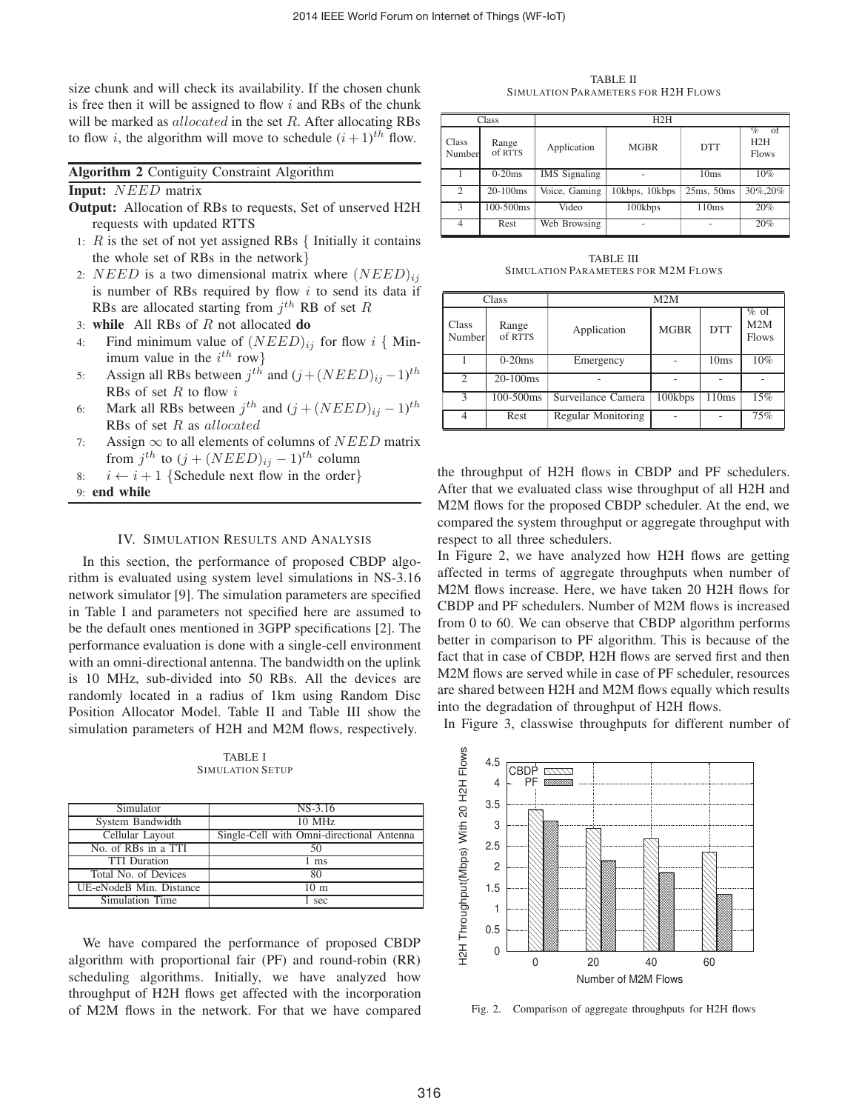size chunk and will check its availability. If the chosen chunk is free then it will be assigned to flow  $i$  and RBs of the chunk will be marked as  $allocated$  in the set  $R$ . After allocating RBs to flow *i*, the algorithm will move to schedule  $(i + 1)^{th}$  flow.

| <b>Algorithm 2 Contiguity Constraint Algorithm</b> |  |  |  |  |
|----------------------------------------------------|--|--|--|--|
|----------------------------------------------------|--|--|--|--|

### **Input:** NEED matrix

- **Output:** Allocation of RBs to requests, Set of unserved H2H requests with updated RTTS
- 1:  $R$  is the set of not yet assigned RBs  $\{$  Initially it contains the whole set of RBs in the network}
- 2: NEED is a two dimensional matrix where  $(NEED)_{ij}$ is number of RBs required by flow  $i$  to send its data if RBs are allocated starting from  $j^{th}$  RB of set R
- 3: **while** All RBs of R not allocated **do**
- 4: Find minimum value of  $(NEED)_{ij}$  for flow i { Minimum value in the  $i^{th}$  row}
- 5: Assign all RBs between  $j^{th}$  and  $(j + (NEED)_{ij} 1)^{th}$ RBs of set  $R$  to flow  $i$
- 6: Mark all RBs between  $j^{th}$  and  $(j + (NEED)_{ij} 1)^{th}$ RBs of set R as allocated
- 7: Assign  $\infty$  to all elements of columns of *NEED* matrix from  $j^{th}$  to  $(j + (NEED)_{ij} - 1)^{th}$  column
- 8:  $i \leftarrow i + 1$  {Schedule next flow in the order}

9: **end while**

#### IV. SIMULATION RESULTS AND ANALYSIS

In this section, the performance of proposed CBDP algorithm is evaluated using system level simulations in NS-3.16 network simulator [9]. The simulation parameters are specified in Table I and parameters not specified here are assumed to be the default ones mentioned in 3GPP specifications [2]. The performance evaluation is done with a single-cell environment with an omni-directional antenna. The bandwidth on the uplink is 10 MHz, sub-divided into 50 RBs. All the devices are randomly located in a radius of 1km using Random Disc Position Allocator Model. Table II and Table III show the simulation parameters of H2H and M2M flows, respectively.

TABLE I SIMULATION SETUP

| Simulator               | $NS-3.16$                                 |
|-------------------------|-------------------------------------------|
| System Bandwidth        | $10$ MHz                                  |
| Cellular Layout         | Single-Cell with Omni-directional Antenna |
| No. of RBs in a TTI     | 50                                        |
| <b>TTI</b> Duration     | 1 ms                                      |
| Total No. of Devices    | 80                                        |
| UE-eNodeB Min. Distance | 10 <sub>m</sub>                           |
| Simulation Time         | sec                                       |

We have compared the performance of proposed CBDP algorithm with proportional fair (PF) and round-robin (RR) scheduling algorithms. Initially, we have analyzed how throughput of H2H flows get affected with the incorporation of M2M flows in the network. For that we have compared

TABLE II SIMULATION PARAMETERS FOR H2H FLOWS

|                 | Class            | H2H                  |                |            |                          |
|-----------------|------------------|----------------------|----------------|------------|--------------------------|
| Class<br>Number | Range<br>of RTTS | Application          | <b>MGBR</b>    | <b>DTT</b> | %<br>H2H<br><b>Flows</b> |
|                 | $0-20ms$         | <b>IMS</b> Signaling |                | 10ms       | 10%                      |
| $\overline{c}$  | $20 - 100$ ms    | Voice, Gaming        | 10kbps, 10kbps | 25ms.50ms  | 30%,20%                  |
| 3               | 100-500ms        | Video                | 100kbps        | 110ms      | 20%                      |
|                 | Rest             | Web Browsing         |                |            | 20%                      |

TABLE III SIMULATION PARAMETERS FOR M2M FLOWS

| Class           |                  | M2M                       |             |            |                                |
|-----------------|------------------|---------------------------|-------------|------------|--------------------------------|
| Class<br>Number | Range<br>of RTTS | Application               | <b>MGBR</b> | <b>DTT</b> | $\%$ of<br>M2M<br><b>Flows</b> |
|                 | $0-20ms$         | Emergency                 |             | 10ms       | $10\%$                         |
| $\mathfrak{D}$  | $20-100ms$       |                           |             |            |                                |
| 3               | 100-500ms        | Surveilance Camera        | 100kbps     | 110ms      | 15%                            |
|                 | Rest             | <b>Regular Monitoring</b> |             |            | 75%                            |

the throughput of H2H flows in CBDP and PF schedulers. After that we evaluated class wise throughput of all H2H and M2M flows for the proposed CBDP scheduler. At the end, we compared the system throughput or aggregate throughput with respect to all three schedulers.

In Figure 2, we have analyzed how H2H flows are getting affected in terms of aggregate throughputs when number of M2M flows increase. Here, we have taken 20 H2H flows for CBDP and PF schedulers. Number of M2M flows is increased from 0 to 60. We can observe that CBDP algorithm performs better in comparison to PF algorithm. This is because of the fact that in case of CBDP, H2H flows are served first and then M2M flows are served while in case of PF scheduler, resources are shared between H2H and M2M flows equally which results into the degradation of throughput of H2H flows.

In Figure 3, classwise throughputs for different number of



Fig. 2. Comparison of aggregate throughputs for H2H flows